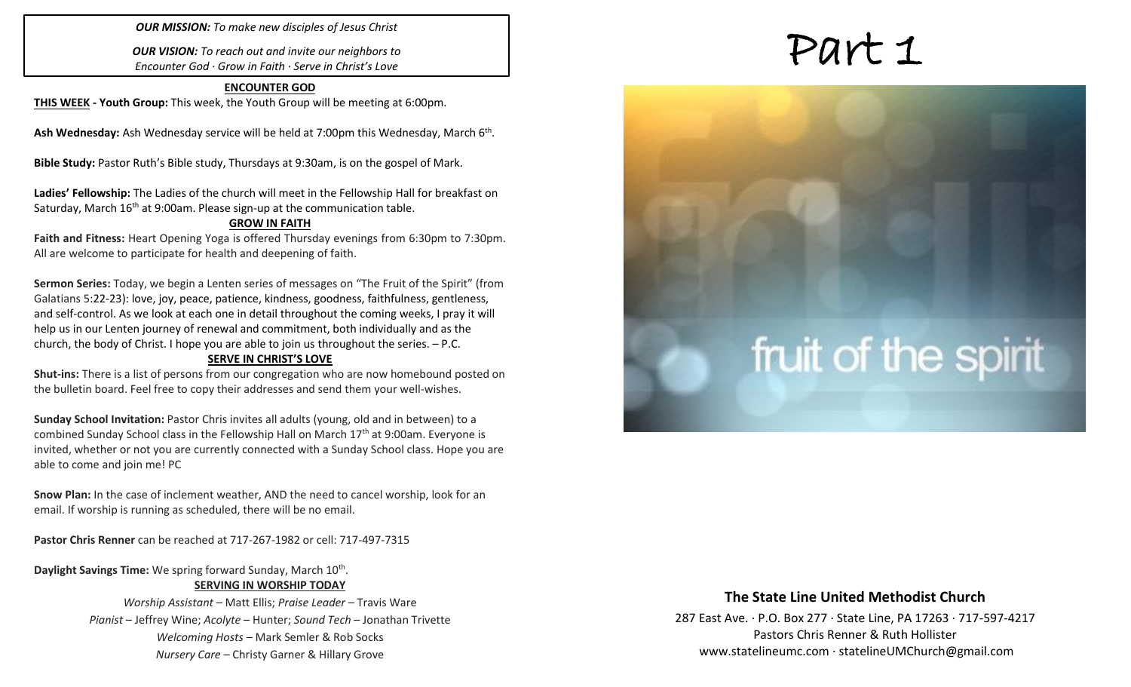*OUR MISSION: To make new disciples of Jesus Christ*

*OUR VISION: To reach out and invite our neighbors to Encounter God · Grow in Faith · Serve in Christ's Love*

### **ENCOUNTER GOD**

**THIS WEEK - Youth Group:** This week, the Youth Group will be meeting at 6:00pm.

Ash Wednesday: Ash Wednesday service will be held at 7:00pm this Wednesday, March 6<sup>th</sup>.

**Bible Study:** Pastor Ruth's Bible study, Thursdays at 9:30am, is on the gospel of Mark.

**Ladies' Fellowship:** The Ladies of the church will meet in the Fellowship Hall for breakfast on Saturday, March 16<sup>th</sup> at 9:00am. Please sign-up at the communication table.

### **GROW IN FAITH**

**Faith and Fitness:** Heart Opening Yoga is offered Thursday evenings from 6:30pm to 7:30pm. All are welcome to participate for health and deepening of faith.

**Sermon Series:** Today, we begin a Lenten series of messages on "The Fruit of the Spirit" (from Galatians 5:22-23): love, joy, peace, patience, kindness, goodness, faithfulness, gentleness, and self-control. As we look at each one in detail throughout the coming weeks, I pray it will help us in our Lenten journey of renewal and commitment, both individually and as the church, the body of Christ. I hope you are able to join us throughout the series. – P.C.

### **SERVE IN CHRIST'S LOVE**

**Shut-ins:** There is a list of persons from our congregation who are now homebound posted on the bulletin board. Feel free to copy their addresses and send them your well-wishes.

**Sunday School Invitation:** Pastor Chris invites all adults (young, old and in between) to a combined Sunday School class in the Fellowship Hall on March  $17<sup>th</sup>$  at 9:00am. Everyone is invited, whether or not you are currently connected with a Sunday School class. Hope you are able to come and join me! PC

**Snow Plan:** In the case of inclement weather, AND the need to cancel worship, look for an email. If worship is running as scheduled, there will be no email.

**Pastor Chris Renner** can be reached at 717-267-1982 or cell: 717-497-7315

### Daylight Savings Time: We spring forward Sunday, March 10<sup>th</sup>. **SERVING IN WORSHIP TODAY**

*Worship Assistant* – Matt Ellis; *Praise Leader* – Travis Ware *Pianist* – Jeffrey Wine; *Acolyte* – Hunter; *Sound Tech* – Jonathan Trivette *Welcoming Hosts* – Mark Semler & Rob Socks *Nursery Care* – Christy Garner & Hillary Grove

# Part 1

# fruit of the spirit

### **The State Line United Methodist Church**

287 East Ave. · P.O. Box 277 · State Line, PA 17263 · 717-597-4217 Pastors Chris Renner & Ruth Hollister [www.statelineumc.com](http://www.statelineumc.com/) · statelineUMChurch@gmail.com